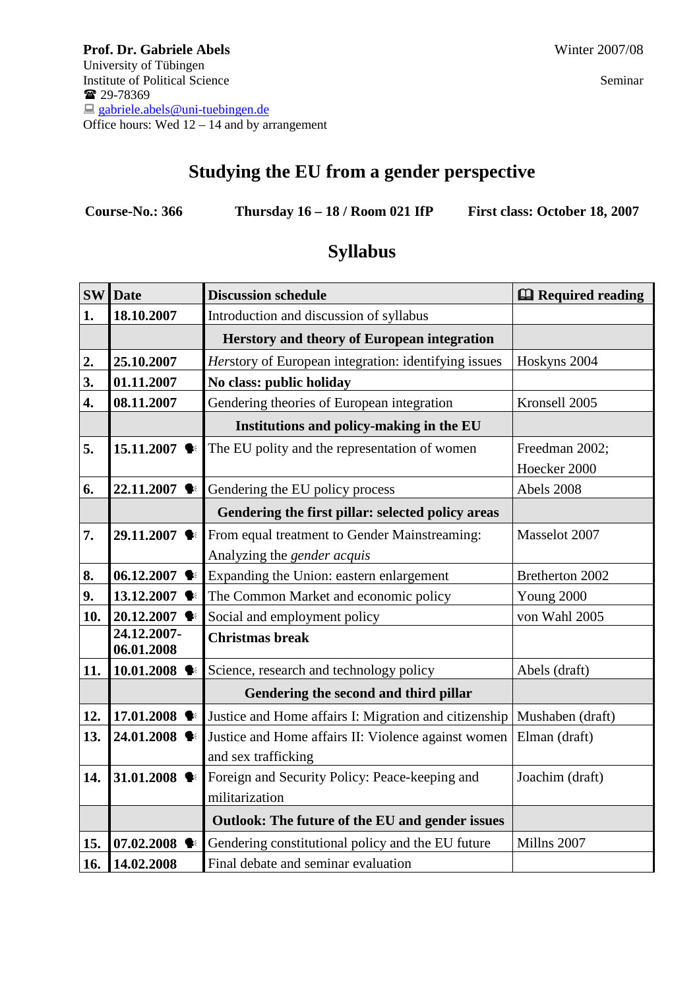# **Studying the EU from a gender perspective**

**Course-No.: 366 Thursday 16 – 18 / Room 021 IfP First class: October 18, 2007** 

|     | <b>SW</b> Date             | <b>Discussion schedule</b>                            | <b>Q</b> Required reading |
|-----|----------------------------|-------------------------------------------------------|---------------------------|
| 1.  | 18.10.2007                 | Introduction and discussion of syllabus               |                           |
|     |                            | Herstory and theory of European integration           |                           |
| 2.  | 25.10.2007                 | Herstory of European integration: identifying issues  | Hoskyns 2004              |
| 3.  | 01.11.2007                 | No class: public holiday                              |                           |
| 4.  | 08.11.2007                 | Gendering theories of European integration            | Kronsell 2005             |
|     |                            | Institutions and policy-making in the EU              |                           |
| 5.  | 15.11.2007 $\blacklozenge$ | The EU polity and the representation of women         | Freedman 2002;            |
|     |                            |                                                       | Hoecker 2000              |
| 6.  | 22.11.2007 ♦               | Gendering the EU policy process                       | Abels 2008                |
|     |                            | Gendering the first pillar: selected policy areas     |                           |
| 7.  | 29.11.2007 ♦               | From equal treatment to Gender Mainstreaming:         | Masselot 2007             |
|     |                            | Analyzing the gender acquis                           |                           |
| 8.  | 06.12.2007                 | Expanding the Union: eastern enlargement              | Bretherton 2002           |
| 9.  | 13.12.2007                 | The Common Market and economic policy                 | Young 2000                |
| 10. | 20.12.2007 ♦               | Social and employment policy                          | von Wahl 2005             |
|     | 24.12.2007-<br>06.01.2008  | <b>Christmas</b> break                                |                           |
| 11. | 10.01.2008                 | Science, research and technology policy               | Abels (draft)             |
|     |                            | Gendering the second and third pillar                 |                           |
| 12. | 17.01.2008                 | Justice and Home affairs I: Migration and citizenship | Mushaben (draft)          |
| 13. | 24.01.2008 ♦               | Justice and Home affairs II: Violence against women   | Elman (draft)             |
|     |                            | and sex trafficking                                   |                           |
| 14. | 31.01.2008 $\blacklozenge$ | Foreign and Security Policy: Peace-keeping and        | Joachim (draft)           |
|     |                            | militarization                                        |                           |
|     |                            | Outlook: The future of the EU and gender issues       |                           |
| 15. | 07.02.2008                 | Gendering constitutional policy and the EU future     | Millns 2007               |
| 16. | 14.02.2008                 | Final debate and seminar evaluation                   |                           |

# **Syllabus**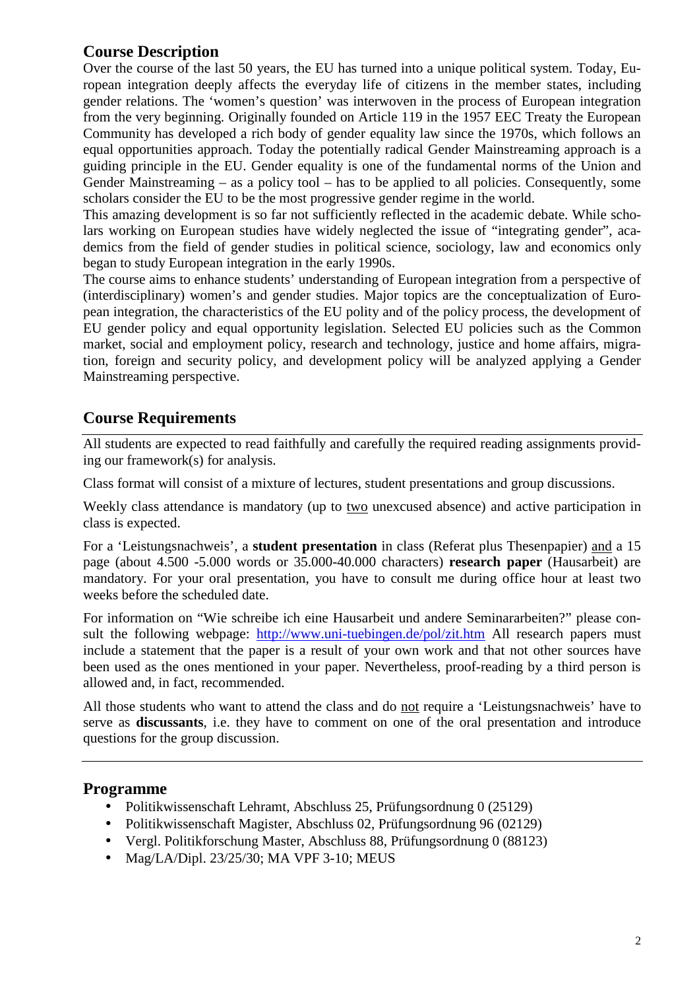# **Course Description**

Over the course of the last 50 years, the EU has turned into a unique political system. Today, European integration deeply affects the everyday life of citizens in the member states, including gender relations. The 'women's question' was interwoven in the process of European integration from the very beginning. Originally founded on Article 119 in the 1957 EEC Treaty the European Community has developed a rich body of gender equality law since the 1970s, which follows an equal opportunities approach. Today the potentially radical Gender Mainstreaming approach is a guiding principle in the EU. Gender equality is one of the fundamental norms of the Union and Gender Mainstreaming – as a policy tool – has to be applied to all policies. Consequently, some scholars consider the EU to be the most progressive gender regime in the world.

This amazing development is so far not sufficiently reflected in the academic debate. While scholars working on European studies have widely neglected the issue of "integrating gender", academics from the field of gender studies in political science, sociology, law and economics only began to study European integration in the early 1990s.

The course aims to enhance students' understanding of European integration from a perspective of (interdisciplinary) women's and gender studies. Major topics are the conceptualization of European integration, the characteristics of the EU polity and of the policy process, the development of EU gender policy and equal opportunity legislation. Selected EU policies such as the Common market, social and employment policy, research and technology, justice and home affairs, migration, foreign and security policy, and development policy will be analyzed applying a Gender Mainstreaming perspective.

# **Course Requirements**

All students are expected to read faithfully and carefully the required reading assignments providing our framework(s) for analysis.

Class format will consist of a mixture of lectures, student presentations and group discussions.

Weekly class attendance is mandatory (up to two unexcused absence) and active participation in class is expected.

For a 'Leistungsnachweis', a **student presentation** in class (Referat plus Thesenpapier) and a 15 page (about 4.500 -5.000 words or 35.000-40.000 characters) **research paper** (Hausarbeit) are mandatory. For your oral presentation, you have to consult me during office hour at least two weeks before the scheduled date.

For information on "Wie schreibe ich eine Hausarbeit und andere Seminararbeiten?" please consult the following webpage: http://www.uni-tuebingen.de/pol/zit.htm All research papers must include a statement that the paper is a result of your own work and that not other sources have been used as the ones mentioned in your paper. Nevertheless, proof-reading by a third person is allowed and, in fact, recommended.

All those students who want to attend the class and do not require a 'Leistungsnachweis' have to serve as **discussants**, i.e. they have to comment on one of the oral presentation and introduce questions for the group discussion.

# **Programme**

- Politikwissenschaft Lehramt, Abschluss 25, Prüfungsordnung 0 (25129)
- Politikwissenschaft Magister, Abschluss 02, Prüfungsordnung 96 (02129)
- Vergl. Politikforschung Master, Abschluss 88, Prüfungsordnung 0 (88123)
- Mag/LA/Dipl. 23/25/30; MA VPF 3-10; MEUS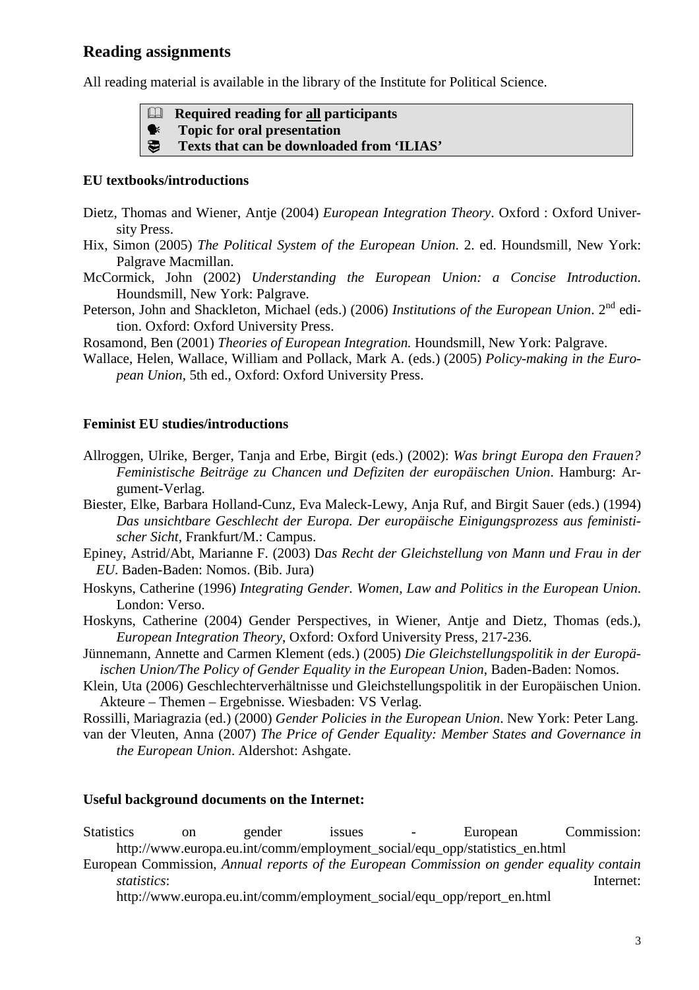## **Reading assignments**

All reading material is available in the library of the Institute for Political Science.

**Required reading for all participants** 

- **Topic for oral presentation**
- $\bigoplus$  **Texts that can be downloaded from 'ILIAS'**

### **EU textbooks/introductions**

- Dietz, Thomas and Wiener, Antje (2004) *European Integration Theory*. Oxford : Oxford University Press.
- Hix, Simon (2005) *The Political System of the European Union*. 2. ed. Houndsmill, New York: Palgrave Macmillan.
- McCormick, John (2002) *Understanding the European Union: a Concise Introduction*. Houndsmill, New York: Palgrave.
- Peterson, John and Shackleton, Michael (eds.) (2006) *Institutions of the European Union*. 2<sup>nd</sup> edition. Oxford: Oxford University Press.

Rosamond, Ben (2001) *Theories of European Integration.* Houndsmill, New York: Palgrave.

Wallace, Helen, Wallace, William and Pollack, Mark A. (eds.) (2005) *Policy-making in the European Union*, 5th ed., Oxford: Oxford University Press.

### **Feminist EU studies/introductions**

- Allroggen, Ulrike, Berger, Tanja and Erbe, Birgit (eds.) (2002): *Was bringt Europa den Frauen? Feministische Beiträge zu Chancen und Defiziten der europäischen Union*. Hamburg: Argument-Verlag.
- Biester, Elke, Barbara Holland-Cunz, Eva Maleck-Lewy, Anja Ruf, and Birgit Sauer (eds.) (1994) *Das unsichtbare Geschlecht der Europa. Der europäische Einigungsprozess aus feministischer Sicht*, Frankfurt/M.: Campus.
- Epiney, Astrid/Abt, Marianne F. (2003) D*as Recht der Gleichstellung von Mann und Frau in der EU*. Baden-Baden: Nomos. (Bib. Jura)
- Hoskyns, Catherine (1996) *Integrating Gender. Women, Law and Politics in the European Union*. London: Verso.
- Hoskyns, Catherine (2004) Gender Perspectives, in Wiener, Antje and Dietz, Thomas (eds.), *European Integration Theory*, Oxford: Oxford University Press, 217-236.
- Jünnemann, Annette and Carmen Klement (eds.) (2005) *Die Gleichstellungspolitik in der Europäischen Union/The Policy of Gender Equality in the European Union*, Baden-Baden: Nomos.
- Klein, Uta (2006) Geschlechterverhältnisse und Gleichstellungspolitik in der Europäischen Union. Akteure – Themen – Ergebnisse. Wiesbaden: VS Verlag.

Rossilli, Mariagrazia (ed.) (2000) *Gender Policies in the European Union*. New York: Peter Lang.

van der Vleuten, Anna (2007) *The Price of Gender Equality: Member States and Governance in the European Union*. Aldershot: Ashgate.

### **Useful background documents on the Internet:**

Statistics on gender issues - European Commission: http://www.europa.eu.int/comm/employment\_social/equ\_opp/statistics\_en.html

European Commission, *Annual reports of the European Commission on gender equality contain statistics*: Internet:

http://www.europa.eu.int/comm/employment\_social/equ\_opp/report\_en.html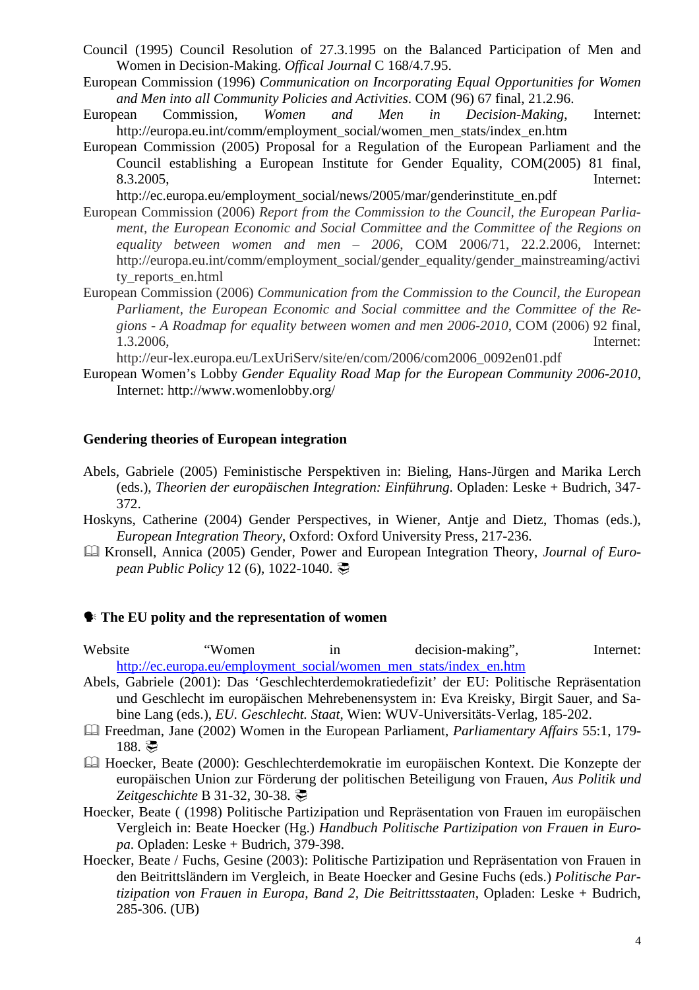- Council (1995) Council Resolution of 27.3.1995 on the Balanced Participation of Men and Women in Decision-Making. *Offical Journal* C 168/4.7.95.
- European Commission (1996) *Communication on Incorporating Equal Opportunities for Women and Men into all Community Policies and Activities*. COM (96) 67 final, 21.2.96.
- European Commission, *Women and Men in Decision-Making*, Internet: http://europa.eu.int/comm/employment\_social/women\_men\_stats/index\_en.htm
- European Commission (2005) Proposal for a Regulation of the European Parliament and the Council establishing a European Institute for Gender Equality, COM(2005) 81 final, 8.3.2005, Internet:

http://ec.europa.eu/employment\_social/news/2005/mar/genderinstitute\_en.pdf

- European Commission (2006) *Report from the Commission to the Council, the European Parliament, the European Economic and Social Committee and the Committee of the Regions on equality between women and men – 2006*, COM 2006/71, 22.2.2006, Internet: http://europa.eu.int/comm/employment\_social/gender\_equality/gender\_mainstreaming/activi ty reports en.html
- European Commission (2006) *Communication from the Commission to the Council, the European Parliament, the European Economic and Social committee and the Committee of the Regions - A Roadmap for equality between women and men 2006-2010*, COM (2006) 92 final, 1.3.2006, Internet:

http://eur-lex.europa.eu/LexUriServ/site/en/com/2006/com2006\_0092en01.pdf

European Women's Lobby *Gender Equality Road Map for the European Community 2006-2010*, Internet: http://www.womenlobby.org/

#### **Gendering theories of European integration**

- Abels, Gabriele (2005) Feministische Perspektiven in: Bieling, Hans-Jürgen and Marika Lerch (eds.), *Theorien der europäischen Integration: Einführung*. Opladen: Leske + Budrich, 347- 372.
- Hoskyns, Catherine (2004) Gender Perspectives, in Wiener, Antje and Dietz, Thomas (eds.), *European Integration Theory*, Oxford: Oxford University Press, 217-236.
- Kronsell, Annica (2005) Gender, Power and European Integration Theory, *Journal of European Public Policy* 12 (6), 1022-1040. <del></del>

#### **The EU polity and the representation of women**

Website "Women in decision-making", Internet: http://ec.europa.eu/employment\_social/women\_men\_stats/index\_en.htm

- Abels, Gabriele (2001): Das 'Geschlechterdemokratiedefizit' der EU: Politische Repräsentation und Geschlecht im europäischen Mehrebenensystem in: Eva Kreisky, Birgit Sauer, and Sabine Lang (eds.), *EU. Geschlecht. Staat*, Wien: WUV-Universitäts-Verlag, 185-202.
- Freedman, Jane (2002) Women in the European Parliament, *Parliamentary Affairs* 55:1, 179-  $188.$
- Hoecker, Beate (2000): Geschlechterdemokratie im europäischen Kontext. Die Konzepte der europäischen Union zur Förderung der politischen Beteiligung von Frauen, *Aus Politik und Zeitgeschichte* **B** 31-32, 30-38.  $\overline{\mathcal{P}}$
- Hoecker, Beate ( (1998) Politische Partizipation und Repräsentation von Frauen im europäischen Vergleich in: Beate Hoecker (Hg.) *Handbuch Politische Partizipation von Frauen in Europa*. Opladen: Leske + Budrich, 379-398.
- Hoecker, Beate / Fuchs, Gesine (2003): Politische Partizipation und Repräsentation von Frauen in den Beitrittsländern im Vergleich, in Beate Hoecker and Gesine Fuchs (eds.) *Politische Partizipation von Frauen in Europa, Band 2, Die Beitrittsstaaten*, Opladen: Leske + Budrich, 285-306. (UB)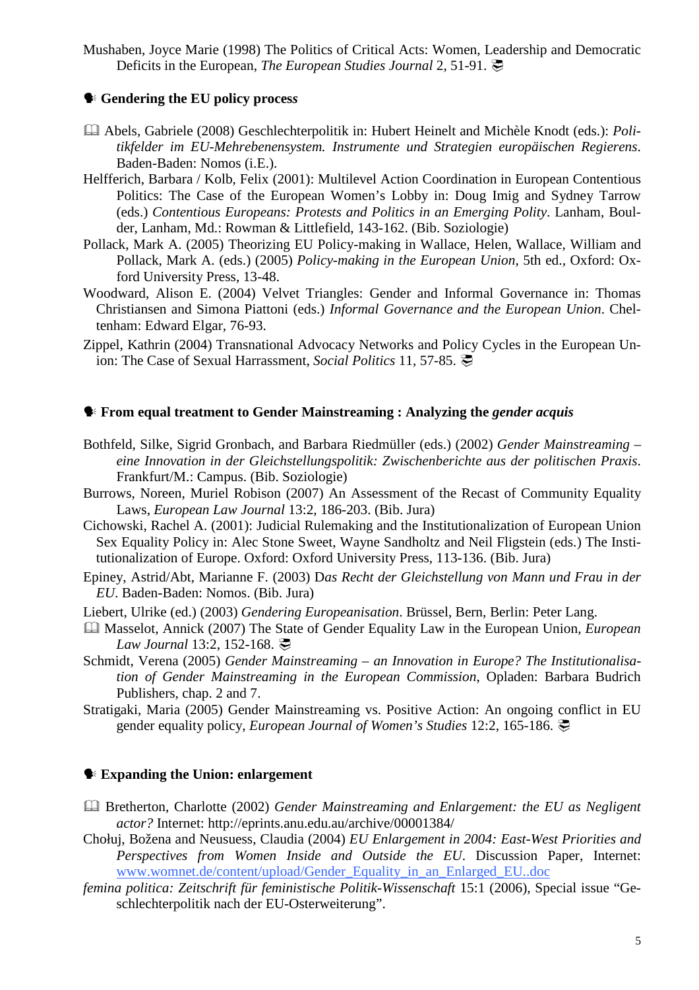Mushaben, Joyce Marie (1998) The Politics of Critical Acts: Women, Leadership and Democratic Deficits in the European, *The European Studies Journal* 2, 51-91. ○

#### **Gendering the EU policy proces***s*

- Abels, Gabriele (2008) Geschlechterpolitik in: Hubert Heinelt and Michèle Knodt (eds.): *Politikfelder im EU-Mehrebenensystem. Instrumente und Strategien europäischen Regierens*. Baden-Baden: Nomos (i.E.).
- Helfferich, Barbara / Kolb, Felix (2001): Multilevel Action Coordination in European Contentious Politics: The Case of the European Women's Lobby in: Doug Imig and Sydney Tarrow (eds.) *Contentious Europeans: Protests and Politics in an Emerging Polity*. Lanham, Boulder, Lanham, Md.: Rowman & Littlefield, 143-162. (Bib. Soziologie)
- Pollack, Mark A. (2005) Theorizing EU Policy-making in Wallace, Helen, Wallace, William and Pollack, Mark A. (eds.) (2005) *Policy-making in the European Union*, 5th ed., Oxford: Oxford University Press, 13-48.
- Woodward, Alison E. (2004) Velvet Triangles: Gender and Informal Governance in: Thomas Christiansen and Simona Piattoni (eds.) *Informal Governance and the European Union*. Cheltenham: Edward Elgar, 76-93.
- Zippel, Kathrin (2004) Transnational Advocacy Networks and Policy Cycles in the European Union: The Case of Sexual Harrassment, *Social Politics* 11, 57-85. <del>○</del>

#### **From equal treatment to Gender Mainstreaming : Analyzing the** *gender acquis*

- Bothfeld, Silke, Sigrid Gronbach, and Barbara Riedmüller (eds.) (2002) *Gender Mainstreaming eine Innovation in der Gleichstellungspolitik: Zwischenberichte aus der politischen Praxis*. Frankfurt/M.: Campus. (Bib. Soziologie)
- Burrows, Noreen, Muriel Robison (2007) An Assessment of the Recast of Community Equality Laws, *European Law Journal* 13:2, 186-203. (Bib. Jura)
- Cichowski, Rachel A. (2001): Judicial Rulemaking and the Institutionalization of European Union Sex Equality Policy in: Alec Stone Sweet, Wayne Sandholtz and Neil Fligstein (eds.) The Institutionalization of Europe. Oxford: Oxford University Press, 113-136. (Bib. Jura)
- Epiney, Astrid/Abt, Marianne F. (2003) D*as Recht der Gleichstellung von Mann und Frau in der EU*. Baden-Baden: Nomos. (Bib. Jura)
- Liebert, Ulrike (ed.) (2003) *Gendering Europeanisation*. Brüssel, Bern, Berlin: Peter Lang.
- Masselot, Annick (2007) The State of Gender Equality Law in the European Union, *European Law Journal* 13:2, 152-168. <del>○</del>
- Schmidt, Verena (2005) *Gender Mainstreaming an Innovation in Europe? The Institutionalisation of Gender Mainstreaming in the European Commission*, Opladen: Barbara Budrich Publishers, chap. 2 and 7.
- Stratigaki, Maria (2005) Gender Mainstreaming vs. Positive Action: An ongoing conflict in EU gender equality policy, *European Journal of Women's Studies* 12:2, 165-186. -

#### **Expanding the Union: enlargement**

- Bretherton, Charlotte (2002) *Gender Mainstreaming and Enlargement: the EU as Negligent actor?* Internet: http://eprints.anu.edu.au/archive/00001384/
- Chołuj, Božena and Neusuess, Claudia (2004) *EU Enlargement in 2004: East-West Priorities and Perspectives from Women Inside and Outside the EU*. Discussion Paper, Internet: www.womnet.de/content/upload/Gender\_Equality\_in\_an\_Enlarged\_EU..doc
- *femina politica: Zeitschrift für feministische Politik-Wissenschaft* 15:1 (2006), Special issue "Geschlechterpolitik nach der EU-Osterweiterung".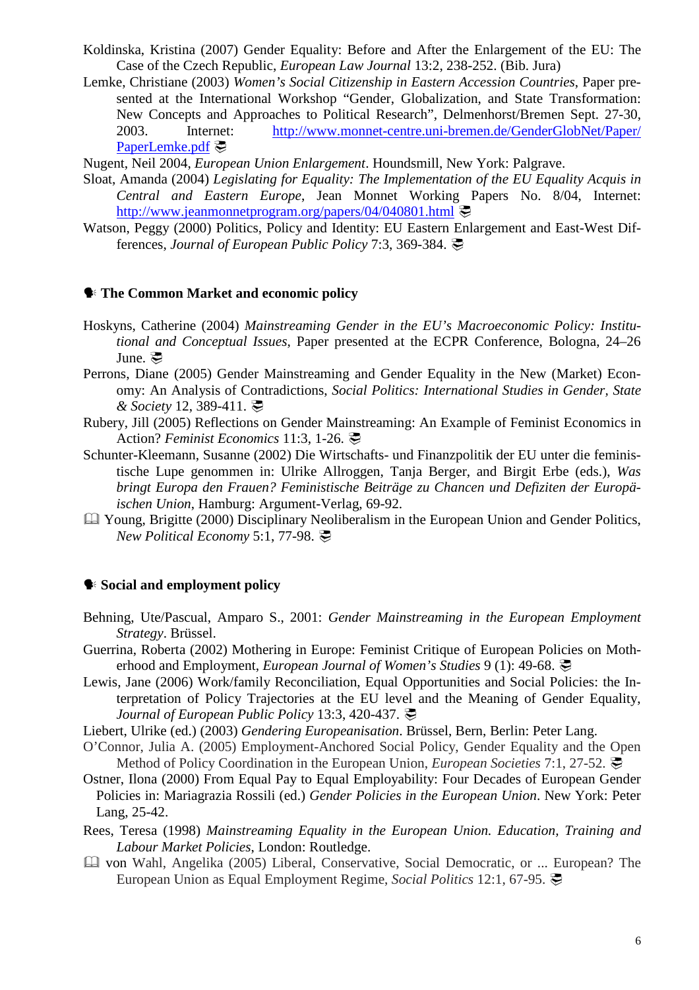- Koldinska, Kristina (2007) Gender Equality: Before and After the Enlargement of the EU: The Case of the Czech Republic, *European Law Journal* 13:2, 238-252. (Bib. Jura)
- Lemke, Christiane (2003) *Women's Social Citizenship in Eastern Accession Countries*, Paper presented at the International Workshop "Gender, Globalization, and State Transformation: New Concepts and Approaches to Political Research", Delmenhorst/Bremen Sept. 27-30, 2003. Internet: http://www.monnet-centre.uni-bremen.de/GenderGlobNet/Paper/ PaperLemke.pdf

Nugent, Neil 2004, *European Union Enlargement*. Houndsmill, New York: Palgrave.

- Sloat, Amanda (2004) *Legislating for Equality: The Implementation of the EU Equality Acquis in Central and Eastern Europe*, Jean Monnet Working Papers No. 8/04, Internet: http://www.jeanmonnetprogram.org/papers/04/040801.html
- Watson, Peggy (2000) Politics, Policy and Identity: EU Eastern Enlargement and East-West Differences, *Journal of European Public Policy* 7:3, 369-384. 灵

#### **The Common Market and economic policy**

- Hoskyns, Catherine (2004) *Mainstreaming Gender in the EU's Macroeconomic Policy: Institutional and Conceptual Issues*, Paper presented at the ECPR Conference, Bologna, 24–26 June.  $\mathcal{F}$
- Perrons, Diane (2005) Gender Mainstreaming and Gender Equality in the New (Market) Economy: An Analysis of Contradictions, *Social Politics: International Studies in Gender, State & Society* 12, 389-411. **●**
- Rubery, Jill (2005) Reflections on Gender Mainstreaming: An Example of Feminist Economics in Action? Feminist Economics 11:3, 1-26. 是
- Schunter-Kleemann, Susanne (2002) Die Wirtschafts- und Finanzpolitik der EU unter die feministische Lupe genommen in: Ulrike Allroggen, Tanja Berger, and Birgit Erbe (eds.), *Was bringt Europa den Frauen? Feministische Beiträge zu Chancen und Defiziten der Europäischen Union*, Hamburg: Argument-Verlag, 69-92.
- Young, Brigitte (2000) Disciplinary Neoliberalism in the European Union and Gender Politics, *New Political Economy* 5:1, 77-98. <a>

### **Social and employment policy**

- Behning, Ute/Pascual, Amparo S., 2001: *Gender Mainstreaming in the European Employment Strategy*. Brüssel.
- Guerrina, Roberta (2002) Mothering in Europe: Feminist Critique of European Policies on Motherhood and Employment, *European Journal of Women's Studies* 9 (1): 49-68. <
- Lewis, Jane (2006) Work/family Reconciliation, Equal Opportunities and Social Policies: the Interpretation of Policy Trajectories at the EU level and the Meaning of Gender Equality, *Journal of European Public Policy* 13:3, 420-437. こ
- Liebert, Ulrike (ed.) (2003) *Gendering Europeanisation*. Brüssel, Bern, Berlin: Peter Lang.
- O'Connor, Julia A. (2005) Employment-Anchored Social Policy, Gender Equality and the Open Method of Policy Coordination in the European Union, *European Societies* 7:1, 27-52. <del>○</del>
- Ostner, Ilona (2000) From Equal Pay to Equal Employability: Four Decades of European Gender Policies in: Mariagrazia Rossili (ed.) *Gender Policies in the European Union*. New York: Peter Lang, 25-42.
- Rees, Teresa (1998) *Mainstreaming Equality in the European Union. Education, Training and Labour Market Policies*, London: Routledge.
- von Wahl, Angelika (2005) Liberal, Conservative, Social Democratic, or ... European? The European Union as Equal Employment Regime, *Social Politics* 12:1, 67-95. -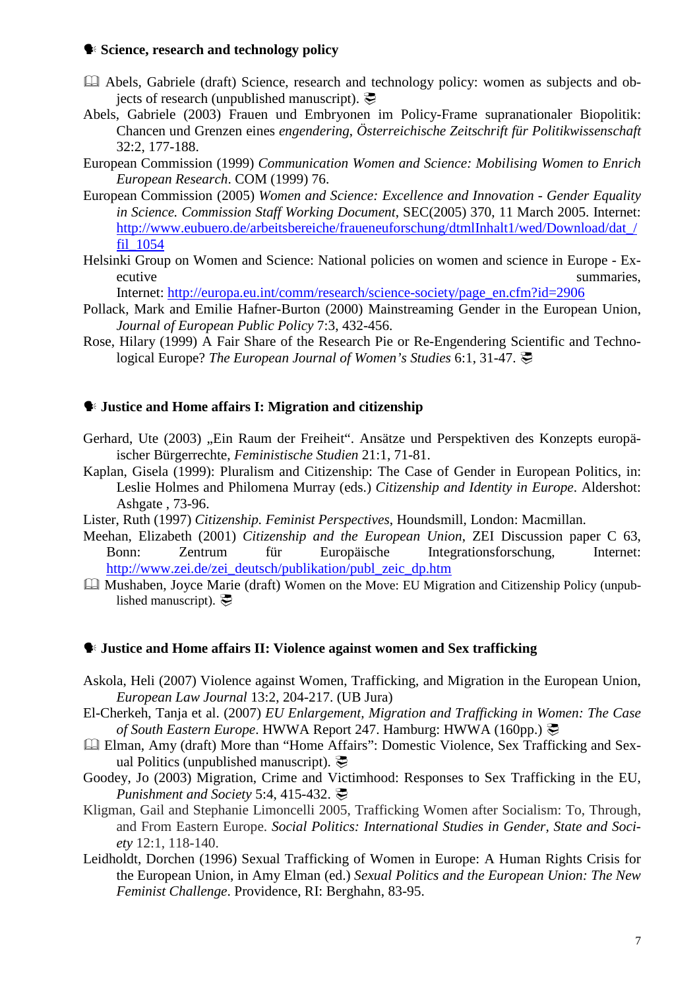#### **Science, research and technology policy**

- Abels, Gabriele (draft) Science, research and technology policy: women as subjects and objects of research (unpublished manuscript).  $\overline{\mathcal{C}}$
- Abels, Gabriele (2003) Frauen und Embryonen im Policy-Frame supranationaler Biopolitik: Chancen und Grenzen eines *engendering*, *Österreichische Zeitschrift für Politikwissenschaft* 32:2, 177-188.
- European Commission (1999) *Communication Women and Science: Mobilising Women to Enrich European Research*. COM (1999) 76.
- European Commission (2005) *Women and Science: Excellence and Innovation Gender Equality in Science. Commission Staff Working Document*, SEC(2005) 370, 11 March 2005. Internet: http://www.eubuero.de/arbeitsbereiche/fraueneuforschung/dtmlInhalt1/wed/Download/dat\_/ fil\_1054
- Helsinki Group on Women and Science: National policies on women and science in Europe Executive summaries, summaries, summaries, summaries, summaries, summaries, summaries, summaries, summaries, summaries,  $\sim$

Internet: http://europa.eu.int/comm/research/science-society/page\_en.cfm?id=2906

- Pollack, Mark and Emilie Hafner-Burton (2000) Mainstreaming Gender in the European Union, *Journal of European Public Policy* 7:3, 432-456.
- Rose, Hilary (1999) A Fair Share of the Research Pie or Re-Engendering Scientific and Technological Europe? *The European Journal of Women's Studies* 6:1, 31-47. <a>

### **Justice and Home affairs I: Migration and citizenship**

- Gerhard, Ute (2003) "Ein Raum der Freiheit". Ansätze und Perspektiven des Konzepts europäischer Bürgerrechte, *Feministische Studien* 21:1, 71-81.
- Kaplan, Gisela (1999): Pluralism and Citizenship: The Case of Gender in European Politics, in: Leslie Holmes and Philomena Murray (eds.) *Citizenship and Identity in Europe*. Aldershot: Ashgate , 73-96.
- Lister, Ruth (1997) *Citizenship. Feminist Perspectives*, Houndsmill, London: Macmillan.
- Meehan, Elizabeth (2001) *Citizenship and the European Union*, ZEI Discussion paper C 63, Bonn: Zentrum für Europäische Integrationsforschung, Internet: http://www.zei.de/zei\_deutsch/publikation/publ\_zeic\_dp.htm
- Mushaben, Joyce Marie (draft) Women on the Move: EU Migration and Citizenship Policy (unpublished manuscript).

#### **Justice and Home affairs II: Violence against women and Sex trafficking**

- Askola, Heli (2007) Violence against Women, Trafficking, and Migration in the European Union, *European Law Journal* 13:2, 204-217. (UB Jura)
- El-Cherkeh, Tanja et al. (2007) *EU Enlargement, Migration and Trafficking in Women: The Case of South Eastern Europe*. HWWA Report 247. Hamburg: HWWA (160pp.) -
- Elman, Amy (draft) More than "Home Affairs": Domestic Violence, Sex Trafficking and Sexual Politics (unpublished manuscript).
- Goodey, Jo (2003) Migration, Crime and Victimhood: Responses to Sex Trafficking in the EU, *Punishment and Society* 5:4, 415-432. ?
- Kligman, Gail and Stephanie Limoncelli 2005, Trafficking Women after Socialism: To, Through, and From Eastern Europe. *Social Politics: International Studies in Gender, State and Society* 12:1, 118-140.
- Leidholdt, Dorchen (1996) Sexual Trafficking of Women in Europe: A Human Rights Crisis for the European Union, in Amy Elman (ed.) *Sexual Politics and the European Union: The New Feminist Challenge*. Providence, RI: Berghahn, 83-95.